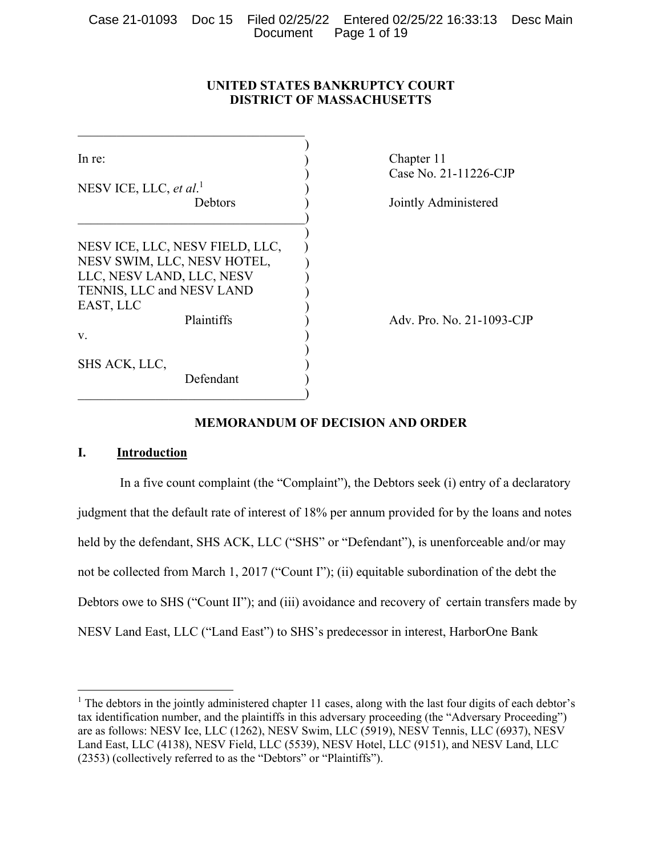# **UNITED STATES BANKRUPTCY COURT DISTRICT OF MASSACHUSETTS**

| In re:                             |            |  | Chapter 11<br>Case No. 21 |
|------------------------------------|------------|--|---------------------------|
| NESV ICE, LLC, et al. <sup>1</sup> |            |  |                           |
| <b>Debtors</b>                     |            |  | Jointly Adn               |
|                                    |            |  |                           |
| NESVICE, LLC, NESV FIELD, LLC,     |            |  |                           |
| NESV SWIM, LLC, NESV HOTEL,        |            |  |                           |
| LLC, NESV LAND, LLC, NESV          |            |  |                           |
| TENNIS, LLC and NESV LAND          |            |  |                           |
| EAST, LLC                          |            |  |                           |
|                                    | Plaintiffs |  | Adv. Pro. N               |
| V.                                 |            |  |                           |
|                                    |            |  |                           |
| SHS ACK, LLC,                      |            |  |                           |
|                                    | Defendant  |  |                           |
|                                    |            |  |                           |

b No. 21-11226-CJP

tly Administered

Pro. No. 21-1093-CJP

# **MEMORANDUM OF DECISION AND ORDER**

# **I. Introduction**

In a five count complaint (the "Complaint"), the Debtors seek (i) entry of a declaratory judgment that the default rate of interest of 18% per annum provided for by the loans and notes held by the defendant, SHS ACK, LLC ("SHS" or "Defendant"), is unenforceable and/or may not be collected from March 1, 2017 ("Count I"); (ii) equitable subordination of the debt the Debtors owe to SHS ("Count II"); and (iii) avoidance and recovery of certain transfers made by NESV Land East, LLC ("Land East") to SHS's predecessor in interest, HarborOne Bank

<sup>&</sup>lt;sup>1</sup> The debtors in the jointly administered chapter 11 cases, along with the last four digits of each debtor's tax identification number, and the plaintiffs in this adversary proceeding (the "Adversary Proceeding") are as follows: NESV Ice, LLC (1262), NESV Swim, LLC (5919), NESV Tennis, LLC (6937), NESV Land East, LLC (4138), NESV Field, LLC (5539), NESV Hotel, LLC (9151), and NESV Land, LLC (2353) (collectively referred to as the "Debtors" or "Plaintiffs").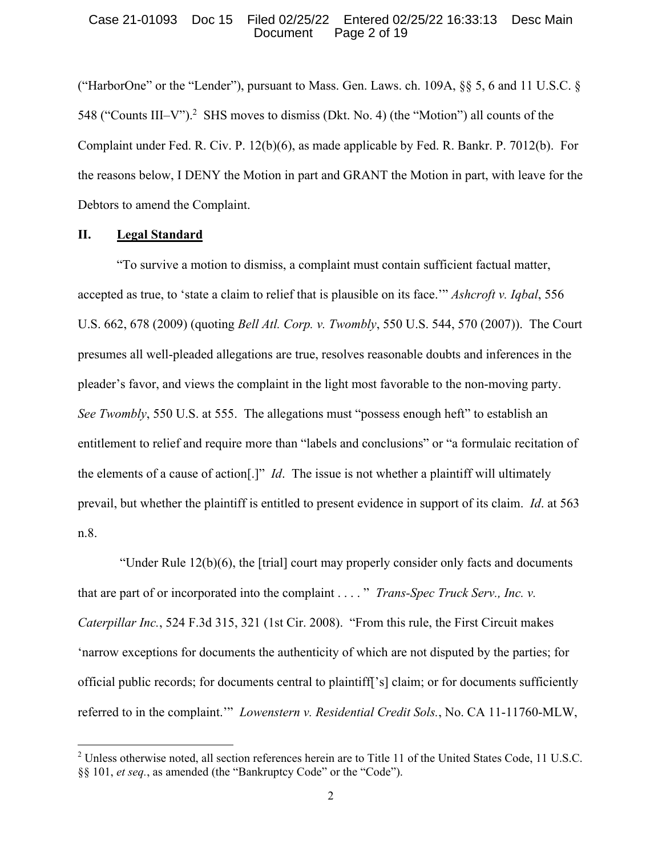## Case 21-01093 Doc 15 Filed 02/25/22 Entered 02/25/22 16:33:13 Desc Main Document Page 2 of 19

("HarborOne" or the "Lender"), pursuant to Mass. Gen. Laws. ch.  $109A$ ,  $\S$ § 5, 6 and 11 U.S.C. § 548 ("Counts III-V").<sup>2</sup> SHS moves to dismiss (Dkt. No. 4) (the "Motion") all counts of the Complaint under Fed. R. Civ. P. 12(b)(6), as made applicable by Fed. R. Bankr. P. 7012(b). For the reasons below, I DENY the Motion in part and GRANT the Motion in part, with leave for the Debtors to amend the Complaint.

# **II. Legal Standard**

"To survive a motion to dismiss, a complaint must contain sufficient factual matter, accepted as true, to 'state a claim to relief that is plausible on its face.'" *Ashcroft v. Iqbal*, 556 U.S. 662, 678 (2009) (quoting *Bell Atl. Corp. v. Twombly*, 550 U.S. 544, 570 (2007)). The Court presumes all well-pleaded allegations are true, resolves reasonable doubts and inferences in the pleader's favor, and views the complaint in the light most favorable to the non-moving party. *See Twombly*, 550 U.S. at 555. The allegations must "possess enough heft" to establish an entitlement to relief and require more than "labels and conclusions" or "a formulaic recitation of the elements of a cause of action[.]" *Id*. The issue is not whether a plaintiff will ultimately prevail, but whether the plaintiff is entitled to present evidence in support of its claim. *Id*. at 563 n.8.

"Under Rule  $12(b)(6)$ , the [trial] court may properly consider only facts and documents that are part of or incorporated into the complaint . . . . " *Trans-Spec Truck Serv., Inc. v. Caterpillar Inc.*, 524 F.3d 315, 321 (1st Cir. 2008). "From this rule, the First Circuit makes 'narrow exceptions for documents the authenticity of which are not disputed by the parties; for official public records; for documents central to plaintiff['s] claim; or for documents sufficiently referred to in the complaint.'" *Lowenstern v. Residential Credit Sols.*, No. CA 11-11760-MLW,

<sup>&</sup>lt;sup>2</sup> Unless otherwise noted, all section references herein are to Title 11 of the United States Code, 11 U.S.C. §§ 101, *et seq.*, as amended (the "Bankruptcy Code" or the "Code").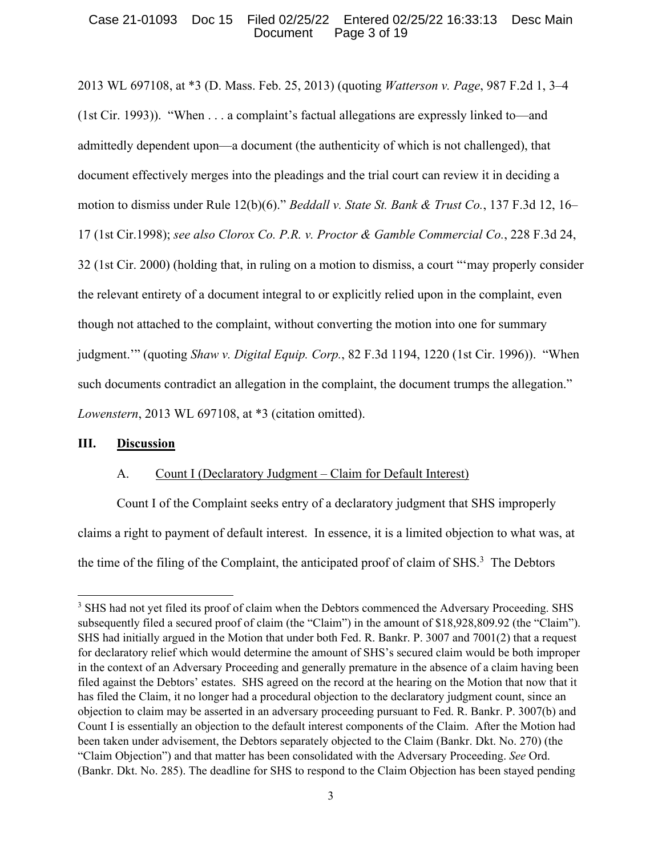# Case 21-01093 Doc 15 Filed 02/25/22 Entered 02/25/22 16:33:13 Desc Main Document Page 3 of 19

2013 WL 697108, at \*3 (D. Mass. Feb. 25, 2013) (quoting *Watterson v. Page*, 987 F.2d 1, 3–4 (1st Cir. 1993)). "When . . . a complaint's factual allegations are expressly linked to—and admittedly dependent upon—a document (the authenticity of which is not challenged), that document effectively merges into the pleadings and the trial court can review it in deciding a motion to dismiss under Rule 12(b)(6)." *Beddall v. State St. Bank & Trust Co.*, 137 F.3d 12, 16– 17 (1st Cir.1998); *see also Clorox Co. P.R. v. Proctor & Gamble Commercial Co.*, 228 F.3d 24, 32 (1st Cir. 2000) (holding that, in ruling on a motion to dismiss, a court "'may properly consider the relevant entirety of a document integral to or explicitly relied upon in the complaint, even though not attached to the complaint, without converting the motion into one for summary judgment.'" (quoting *Shaw v. Digital Equip. Corp.*, 82 F.3d 1194, 1220 (1st Cir. 1996)). "When such documents contradict an allegation in the complaint, the document trumps the allegation." *Lowenstern*, 2013 WL 697108, at \*3 (citation omitted).

# **III. Discussion**

# A. Count I (Declaratory Judgment – Claim for Default Interest)

Count I of the Complaint seeks entry of a declaratory judgment that SHS improperly claims a right to payment of default interest. In essence, it is a limited objection to what was, at the time of the filing of the Complaint, the anticipated proof of claim of SHS. $3$  The Debtors

<sup>&</sup>lt;sup>3</sup> SHS had not yet filed its proof of claim when the Debtors commenced the Adversary Proceeding. SHS subsequently filed a secured proof of claim (the "Claim") in the amount of \$18,928,809.92 (the "Claim"). SHS had initially argued in the Motion that under both Fed. R. Bankr. P. 3007 and 7001(2) that a request for declaratory relief which would determine the amount of SHS's secured claim would be both improper in the context of an Adversary Proceeding and generally premature in the absence of a claim having been filed against the Debtors' estates. SHS agreed on the record at the hearing on the Motion that now that it has filed the Claim, it no longer had a procedural objection to the declaratory judgment count, since an objection to claim may be asserted in an adversary proceeding pursuant to Fed. R. Bankr. P. 3007(b) and Count I is essentially an objection to the default interest components of the Claim. After the Motion had been taken under advisement, the Debtors separately objected to the Claim (Bankr. Dkt. No. 270) (the "Claim Objection") and that matter has been consolidated with the Adversary Proceeding. *See* Ord. (Bankr. Dkt. No. 285). The deadline for SHS to respond to the Claim Objection has been stayed pending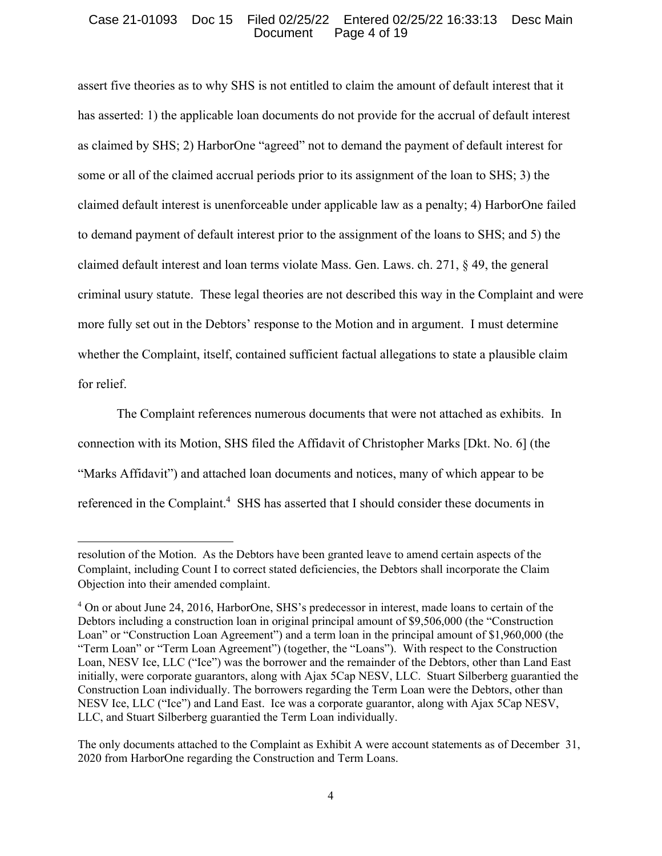# Case 21-01093 Doc 15 Filed 02/25/22 Entered 02/25/22 16:33:13 Desc Main Document Page 4 of 19

assert five theories as to why SHS is not entitled to claim the amount of default interest that it has asserted: 1) the applicable loan documents do not provide for the accrual of default interest as claimed by SHS; 2) HarborOne "agreed" not to demand the payment of default interest for some or all of the claimed accrual periods prior to its assignment of the loan to SHS; 3) the claimed default interest is unenforceable under applicable law as a penalty; 4) HarborOne failed to demand payment of default interest prior to the assignment of the loans to SHS; and 5) the claimed default interest and loan terms violate Mass. Gen. Laws. ch. 271, § 49, the general criminal usury statute. These legal theories are not described this way in the Complaint and were more fully set out in the Debtors' response to the Motion and in argument. I must determine whether the Complaint, itself, contained sufficient factual allegations to state a plausible claim for relief.

The Complaint references numerous documents that were not attached as exhibits. In connection with its Motion, SHS filed the Affidavit of Christopher Marks [Dkt. No. 6] (the "Marks Affidavit") and attached loan documents and notices, many of which appear to be referenced in the Complaint.<sup>4</sup> SHS has asserted that I should consider these documents in

resolution of the Motion. As the Debtors have been granted leave to amend certain aspects of the Complaint, including Count I to correct stated deficiencies, the Debtors shall incorporate the Claim Objection into their amended complaint.

<sup>&</sup>lt;sup>4</sup> On or about June 24, 2016, HarborOne, SHS's predecessor in interest, made loans to certain of the Debtors including a construction loan in original principal amount of \$9,506,000 (the "Construction Loan" or "Construction Loan Agreement") and a term loan in the principal amount of \$1,960,000 (the "Term Loan" or "Term Loan Agreement") (together, the "Loans"). With respect to the Construction Loan, NESV Ice, LLC ("Ice") was the borrower and the remainder of the Debtors, other than Land East initially, were corporate guarantors, along with Ajax 5Cap NESV, LLC. Stuart Silberberg guarantied the Construction Loan individually. The borrowers regarding the Term Loan were the Debtors, other than NESV Ice, LLC ("Ice") and Land East. Ice was a corporate guarantor, along with Ajax 5Cap NESV, LLC, and Stuart Silberberg guarantied the Term Loan individually.

The only documents attached to the Complaint as Exhibit A were account statements as of December 31, 2020 from HarborOne regarding the Construction and Term Loans.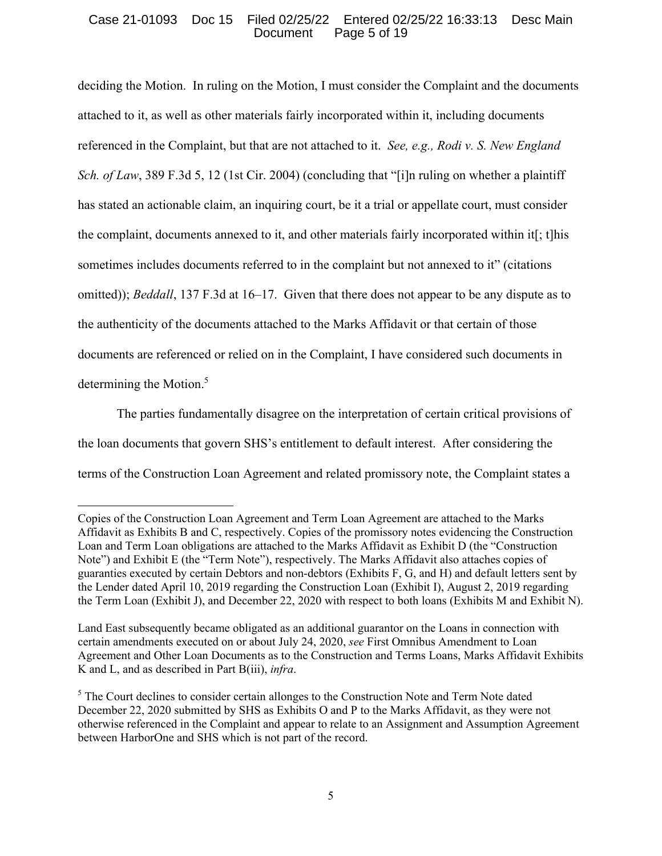## Case 21-01093 Doc 15 Filed 02/25/22 Entered 02/25/22 16:33:13 Desc Main Document Page 5 of 19

deciding the Motion. In ruling on the Motion, I must consider the Complaint and the documents attached to it, as well as other materials fairly incorporated within it, including documents referenced in the Complaint, but that are not attached to it. *See, e.g., Rodi v. S. New England Sch. of Law*, 389 F.3d 5, 12 (1st Cir. 2004) (concluding that "[i]n ruling on whether a plaintiff has stated an actionable claim, an inquiring court, be it a trial or appellate court, must consider the complaint, documents annexed to it, and other materials fairly incorporated within it[; t]his sometimes includes documents referred to in the complaint but not annexed to it" (citations omitted)); *Beddall*, 137 F.3d at 16–17. Given that there does not appear to be any dispute as to the authenticity of the documents attached to the Marks Affidavit or that certain of those documents are referenced or relied on in the Complaint, I have considered such documents in determining the Motion.<sup>5</sup>

The parties fundamentally disagree on the interpretation of certain critical provisions of the loan documents that govern SHS's entitlement to default interest. After considering the terms of the Construction Loan Agreement and related promissory note, the Complaint states a

Copies of the Construction Loan Agreement and Term Loan Agreement are attached to the Marks Affidavit as Exhibits B and C, respectively. Copies of the promissory notes evidencing the Construction Loan and Term Loan obligations are attached to the Marks Affidavit as Exhibit D (the "Construction Note") and Exhibit E (the "Term Note"), respectively. The Marks Affidavit also attaches copies of guaranties executed by certain Debtors and non-debtors (Exhibits F, G, and H) and default letters sent by the Lender dated April 10, 2019 regarding the Construction Loan (Exhibit I), August 2, 2019 regarding the Term Loan (Exhibit J), and December 22, 2020 with respect to both loans (Exhibits M and Exhibit N).

Land East subsequently became obligated as an additional guarantor on the Loans in connection with certain amendments executed on or about July 24, 2020, *see* First Omnibus Amendment to Loan Agreement and Other Loan Documents as to the Construction and Terms Loans, Marks Affidavit Exhibits K and L, and as described in Part B(iii), *infra*.

<sup>&</sup>lt;sup>5</sup> The Court declines to consider certain allonges to the Construction Note and Term Note dated December 22, 2020 submitted by SHS as Exhibits O and P to the Marks Affidavit, as they were not otherwise referenced in the Complaint and appear to relate to an Assignment and Assumption Agreement between HarborOne and SHS which is not part of the record.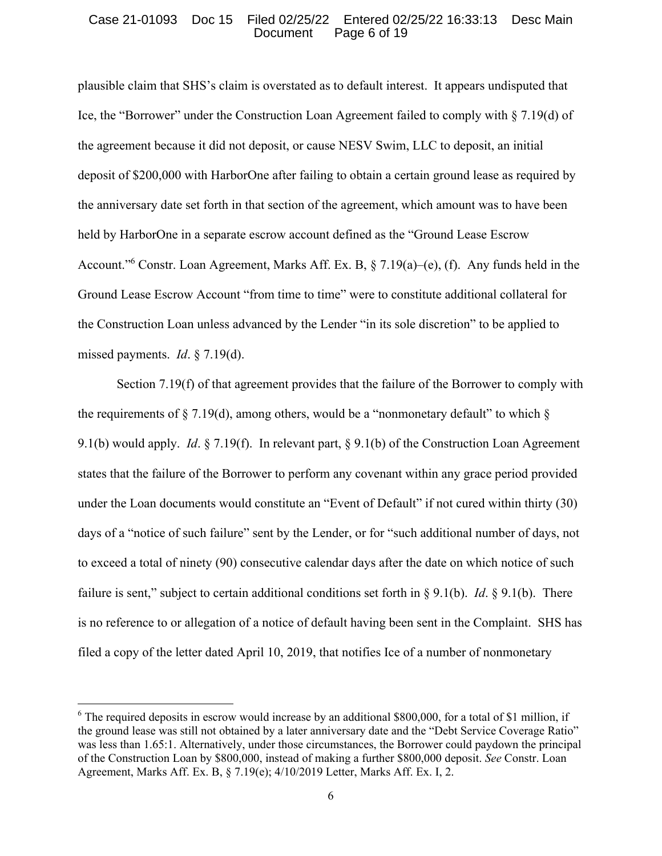#### Case 21-01093 Doc 15 Filed 02/25/22 Entered 02/25/22 16:33:13 Desc Main Document Page 6 of 19

plausible claim that SHS's claim is overstated as to default interest. It appears undisputed that Ice, the "Borrower" under the Construction Loan Agreement failed to comply with § 7.19(d) of the agreement because it did not deposit, or cause NESV Swim, LLC to deposit, an initial deposit of \$200,000 with HarborOne after failing to obtain a certain ground lease as required by the anniversary date set forth in that section of the agreement, which amount was to have been held by HarborOne in a separate escrow account defined as the "Ground Lease Escrow Account."<sup>6</sup> Constr. Loan Agreement, Marks Aff. Ex. B, § 7.19(a)–(e), (f). Any funds held in the Ground Lease Escrow Account "from time to time" were to constitute additional collateral for the Construction Loan unless advanced by the Lender "in its sole discretion" to be applied to missed payments. *Id*. § 7.19(d).

Section 7.19(f) of that agreement provides that the failure of the Borrower to comply with the requirements of  $\S 7.19(d)$ , among others, would be a "nonmonetary default" to which  $\S$ 9.1(b) would apply. *Id*. § 7.19(f). In relevant part, § 9.1(b) of the Construction Loan Agreement states that the failure of the Borrower to perform any covenant within any grace period provided under the Loan documents would constitute an "Event of Default" if not cured within thirty (30) days of a "notice of such failure" sent by the Lender, or for "such additional number of days, not to exceed a total of ninety (90) consecutive calendar days after the date on which notice of such failure is sent," subject to certain additional conditions set forth in § 9.1(b). *Id*. § 9.1(b). There is no reference to or allegation of a notice of default having been sent in the Complaint. SHS has filed a copy of the letter dated April 10, 2019, that notifies Ice of a number of nonmonetary

 $6$  The required deposits in escrow would increase by an additional \$800,000, for a total of \$1 million, if the ground lease was still not obtained by a later anniversary date and the "Debt Service Coverage Ratio" was less than 1.65:1. Alternatively, under those circumstances, the Borrower could paydown the principal of the Construction Loan by \$800,000, instead of making a further \$800,000 deposit. *See* Constr. Loan Agreement, Marks Aff. Ex. B, § 7.19(e); 4/10/2019 Letter, Marks Aff. Ex. I, 2.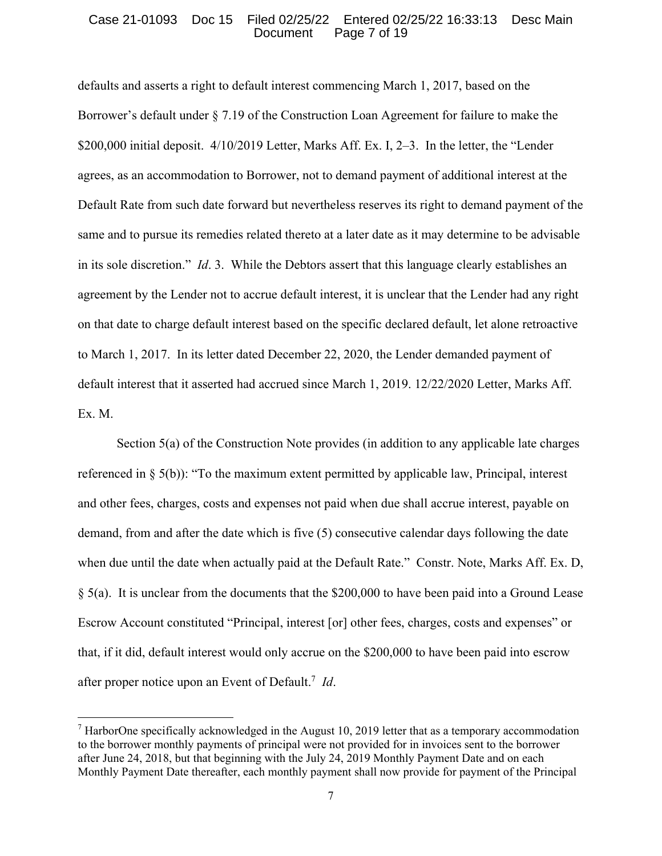#### Case 21-01093 Doc 15 Filed 02/25/22 Entered 02/25/22 16:33:13 Desc Main Document Page 7 of 19

defaults and asserts a right to default interest commencing March 1, 2017, based on the Borrower's default under § 7.19 of the Construction Loan Agreement for failure to make the \$200,000 initial deposit. 4/10/2019 Letter, Marks Aff. Ex. I, 2–3. In the letter, the "Lender agrees, as an accommodation to Borrower, not to demand payment of additional interest at the Default Rate from such date forward but nevertheless reserves its right to demand payment of the same and to pursue its remedies related thereto at a later date as it may determine to be advisable in its sole discretion." *Id*. 3. While the Debtors assert that this language clearly establishes an agreement by the Lender not to accrue default interest, it is unclear that the Lender had any right on that date to charge default interest based on the specific declared default, let alone retroactive to March 1, 2017. In its letter dated December 22, 2020, the Lender demanded payment of default interest that it asserted had accrued since March 1, 2019. 12/22/2020 Letter, Marks Aff. Ex. M.

 Section 5(a) of the Construction Note provides (in addition to any applicable late charges referenced in § 5(b)): "To the maximum extent permitted by applicable law, Principal, interest and other fees, charges, costs and expenses not paid when due shall accrue interest, payable on demand, from and after the date which is five (5) consecutive calendar days following the date when due until the date when actually paid at the Default Rate." Constr. Note, Marks Aff. Ex. D, § 5(a). It is unclear from the documents that the \$200,000 to have been paid into a Ground Lease Escrow Account constituted "Principal, interest [or] other fees, charges, costs and expenses" or that, if it did, default interest would only accrue on the \$200,000 to have been paid into escrow after proper notice upon an Event of Default.7 *Id*.

 $<sup>7</sup>$  HarborOne specifically acknowledged in the August 10, 2019 letter that as a temporary accommodation</sup> to the borrower monthly payments of principal were not provided for in invoices sent to the borrower after June 24, 2018, but that beginning with the July 24, 2019 Monthly Payment Date and on each Monthly Payment Date thereafter, each monthly payment shall now provide for payment of the Principal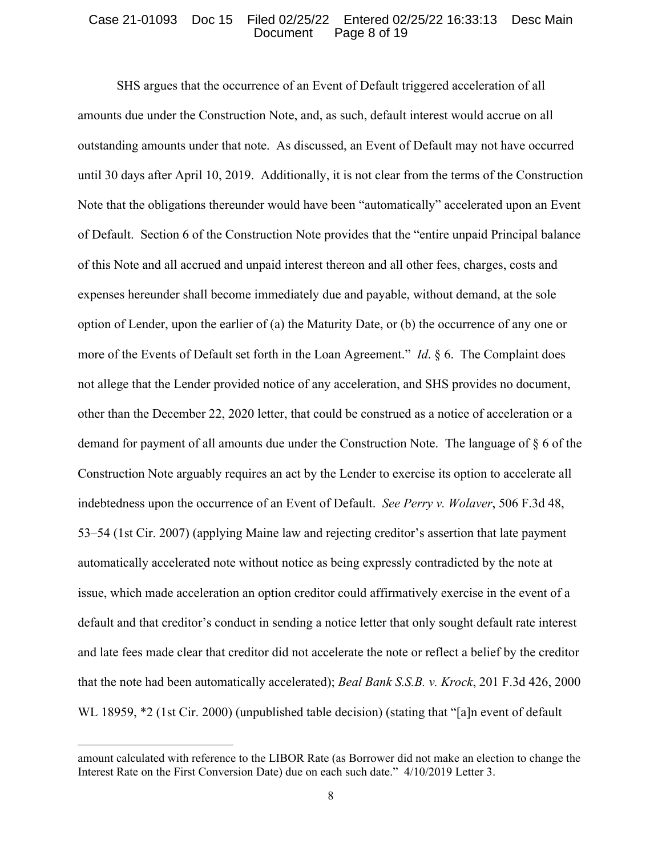#### Case 21-01093 Doc 15 Filed 02/25/22 Entered 02/25/22 16:33:13 Desc Main Document Page 8 of 19

 SHS argues that the occurrence of an Event of Default triggered acceleration of all amounts due under the Construction Note, and, as such, default interest would accrue on all outstanding amounts under that note. As discussed, an Event of Default may not have occurred until 30 days after April 10, 2019. Additionally, it is not clear from the terms of the Construction Note that the obligations thereunder would have been "automatically" accelerated upon an Event of Default. Section 6 of the Construction Note provides that the "entire unpaid Principal balance of this Note and all accrued and unpaid interest thereon and all other fees, charges, costs and expenses hereunder shall become immediately due and payable, without demand, at the sole option of Lender, upon the earlier of (a) the Maturity Date, or (b) the occurrence of any one or more of the Events of Default set forth in the Loan Agreement." *Id*. § 6. The Complaint does not allege that the Lender provided notice of any acceleration, and SHS provides no document, other than the December 22, 2020 letter, that could be construed as a notice of acceleration or a demand for payment of all amounts due under the Construction Note. The language of § 6 of the Construction Note arguably requires an act by the Lender to exercise its option to accelerate all indebtedness upon the occurrence of an Event of Default. *See Perry v. Wolaver*, 506 F.3d 48, 53–54 (1st Cir. 2007) (applying Maine law and rejecting creditor's assertion that late payment automatically accelerated note without notice as being expressly contradicted by the note at issue, which made acceleration an option creditor could affirmatively exercise in the event of a default and that creditor's conduct in sending a notice letter that only sought default rate interest and late fees made clear that creditor did not accelerate the note or reflect a belief by the creditor that the note had been automatically accelerated); *Beal Bank S.S.B. v. Krock*, 201 F.3d 426, 2000 WL 18959,  $*2$  (1st Cir. 2000) (unpublished table decision) (stating that "[a]n event of default

amount calculated with reference to the LIBOR Rate (as Borrower did not make an election to change the Interest Rate on the First Conversion Date) due on each such date." 4/10/2019 Letter 3.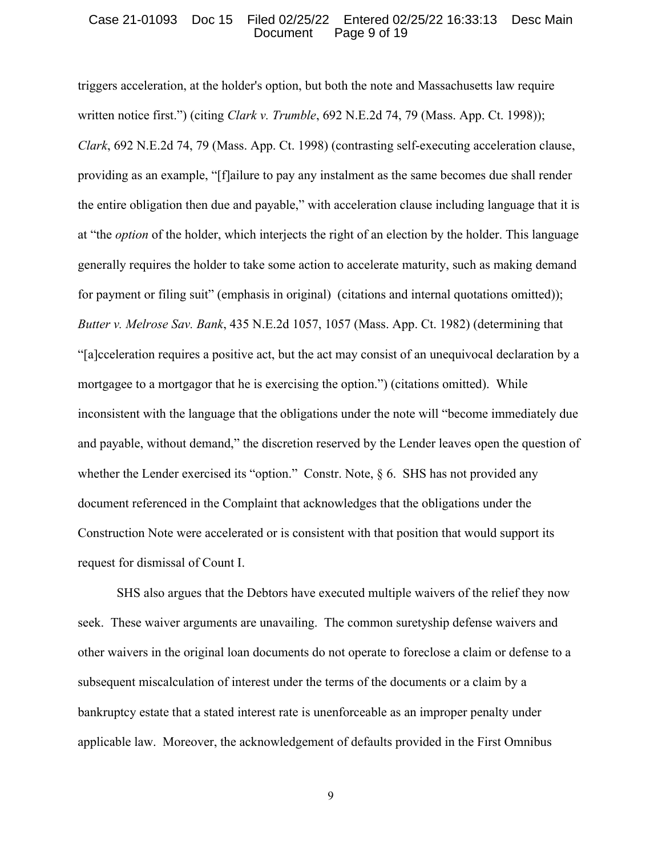## Case 21-01093 Doc 15 Filed 02/25/22 Entered 02/25/22 16:33:13 Desc Main Page 9 of 19

triggers acceleration, at the holder's option, but both the note and Massachusetts law require written notice first.") (citing *Clark v. Trumble*, 692 N.E.2d 74, 79 (Mass. App. Ct. 1998)); *Clark*, 692 N.E.2d 74, 79 (Mass. App. Ct. 1998) (contrasting self-executing acceleration clause, providing as an example, "[f]ailure to pay any instalment as the same becomes due shall render the entire obligation then due and payable," with acceleration clause including language that it is at "the *option* of the holder, which interjects the right of an election by the holder. This language generally requires the holder to take some action to accelerate maturity, such as making demand for payment or filing suit" (emphasis in original) (citations and internal quotations omitted)); *Butter v. Melrose Sav. Bank*, 435 N.E.2d 1057, 1057 (Mass. App. Ct. 1982) (determining that "[a]cceleration requires a positive act, but the act may consist of an unequivocal declaration by a mortgagee to a mortgagor that he is exercising the option.") (citations omitted). While inconsistent with the language that the obligations under the note will "become immediately due and payable, without demand," the discretion reserved by the Lender leaves open the question of whether the Lender exercised its "option." Constr. Note, § 6. SHS has not provided any document referenced in the Complaint that acknowledges that the obligations under the Construction Note were accelerated or is consistent with that position that would support its request for dismissal of Count I.

 SHS also argues that the Debtors have executed multiple waivers of the relief they now seek. These waiver arguments are unavailing. The common suretyship defense waivers and other waivers in the original loan documents do not operate to foreclose a claim or defense to a subsequent miscalculation of interest under the terms of the documents or a claim by a bankruptcy estate that a stated interest rate is unenforceable as an improper penalty under applicable law. Moreover, the acknowledgement of defaults provided in the First Omnibus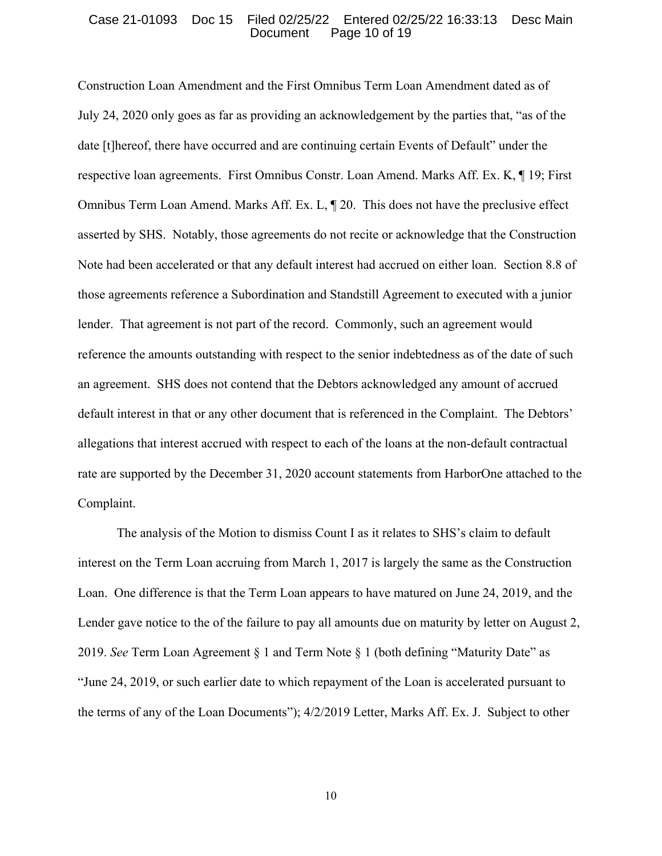## Case 21-01093 Doc 15 Filed 02/25/22 Entered 02/25/22 16:33:13 Desc Main Document Page 10 of 19

Construction Loan Amendment and the First Omnibus Term Loan Amendment dated as of July 24, 2020 only goes as far as providing an acknowledgement by the parties that, "as of the date [t]hereof, there have occurred and are continuing certain Events of Default" under the respective loan agreements. First Omnibus Constr. Loan Amend. Marks Aff. Ex. K, ¶ 19; First Omnibus Term Loan Amend. Marks Aff. Ex. L, ¶ 20. This does not have the preclusive effect asserted by SHS. Notably, those agreements do not recite or acknowledge that the Construction Note had been accelerated or that any default interest had accrued on either loan. Section 8.8 of those agreements reference a Subordination and Standstill Agreement to executed with a junior lender. That agreement is not part of the record. Commonly, such an agreement would reference the amounts outstanding with respect to the senior indebtedness as of the date of such an agreement. SHS does not contend that the Debtors acknowledged any amount of accrued default interest in that or any other document that is referenced in the Complaint. The Debtors' allegations that interest accrued with respect to each of the loans at the non-default contractual rate are supported by the December 31, 2020 account statements from HarborOne attached to the Complaint.

 The analysis of the Motion to dismiss Count I as it relates to SHS's claim to default interest on the Term Loan accruing from March 1, 2017 is largely the same as the Construction Loan. One difference is that the Term Loan appears to have matured on June 24, 2019, and the Lender gave notice to the of the failure to pay all amounts due on maturity by letter on August 2, 2019. *See* Term Loan Agreement § 1 and Term Note § 1 (both defining "Maturity Date" as "June 24, 2019, or such earlier date to which repayment of the Loan is accelerated pursuant to the terms of any of the Loan Documents"); 4/2/2019 Letter, Marks Aff. Ex. J. Subject to other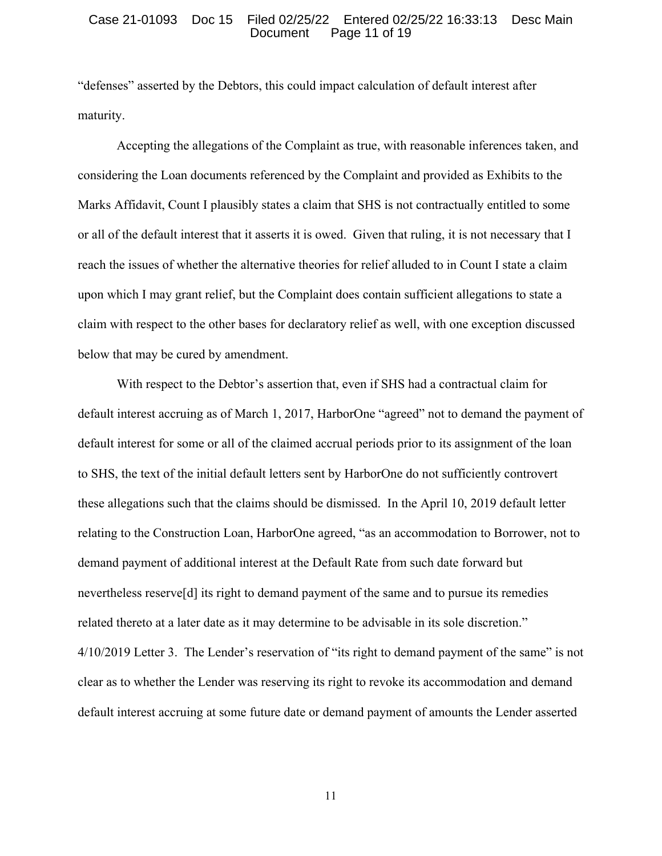#### Case 21-01093 Doc 15 Filed 02/25/22 Entered 02/25/22 16:33:13 Desc Main Document Page 11 of 19

"defenses" asserted by the Debtors, this could impact calculation of default interest after maturity.

Accepting the allegations of the Complaint as true, with reasonable inferences taken, and considering the Loan documents referenced by the Complaint and provided as Exhibits to the Marks Affidavit, Count I plausibly states a claim that SHS is not contractually entitled to some or all of the default interest that it asserts it is owed. Given that ruling, it is not necessary that I reach the issues of whether the alternative theories for relief alluded to in Count I state a claim upon which I may grant relief, but the Complaint does contain sufficient allegations to state a claim with respect to the other bases for declaratory relief as well, with one exception discussed below that may be cured by amendment.

 With respect to the Debtor's assertion that, even if SHS had a contractual claim for default interest accruing as of March 1, 2017, HarborOne "agreed" not to demand the payment of default interest for some or all of the claimed accrual periods prior to its assignment of the loan to SHS, the text of the initial default letters sent by HarborOne do not sufficiently controvert these allegations such that the claims should be dismissed. In the April 10, 2019 default letter relating to the Construction Loan, HarborOne agreed, "as an accommodation to Borrower, not to demand payment of additional interest at the Default Rate from such date forward but nevertheless reserve[d] its right to demand payment of the same and to pursue its remedies related thereto at a later date as it may determine to be advisable in its sole discretion." 4/10/2019 Letter 3. The Lender's reservation of "its right to demand payment of the same" is not clear as to whether the Lender was reserving its right to revoke its accommodation and demand default interest accruing at some future date or demand payment of amounts the Lender asserted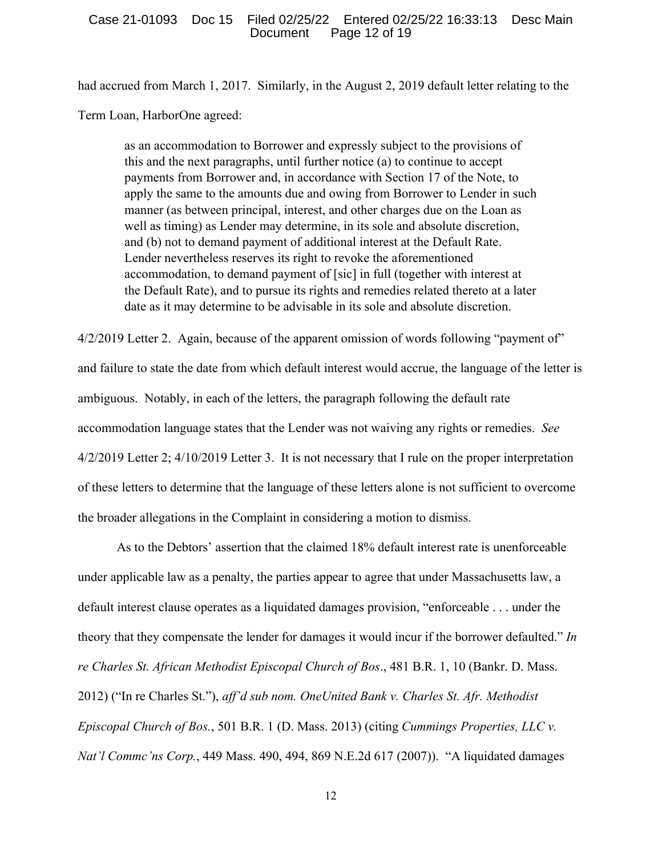had accrued from March 1, 2017. Similarly, in the August 2, 2019 default letter relating to the Term Loan, HarborOne agreed:

as an accommodation to Borrower and expressly subject to the provisions of this and the next paragraphs, until further notice (a) to continue to accept payments from Borrower and, in accordance with Section 17 of the Note, to apply the same to the amounts due and owing from Borrower to Lender in such manner (as between principal, interest, and other charges due on the Loan as well as timing) as Lender may determine, in its sole and absolute discretion, and (b) not to demand payment of additional interest at the Default Rate. Lender nevertheless reserves its right to revoke the aforementioned accommodation, to demand payment of [sic] in full (together with interest at the Default Rate), and to pursue its rights and remedies related thereto at a later date as it may determine to be advisable in its sole and absolute discretion.

4/2/2019 Letter 2. Again, because of the apparent omission of words following "payment of" and failure to state the date from which default interest would accrue, the language of the letter is ambiguous. Notably, in each of the letters, the paragraph following the default rate accommodation language states that the Lender was not waiving any rights or remedies. *See* 4/2/2019 Letter 2; 4/10/2019 Letter 3. It is not necessary that I rule on the proper interpretation of these letters to determine that the language of these letters alone is not sufficient to overcome the broader allegations in the Complaint in considering a motion to dismiss.

 As to the Debtors' assertion that the claimed 18% default interest rate is unenforceable under applicable law as a penalty, the parties appear to agree that under Massachusetts law, a default interest clause operates as a liquidated damages provision, "enforceable . . . under the theory that they compensate the lender for damages it would incur if the borrower defaulted." *In re Charles St. African Methodist Episcopal Church of Bos*., 481 B.R. 1, 10 (Bankr. D. Mass. 2012) ("In re Charles St."), *aff'd sub nom. OneUnited Bank v. Charles St. Afr. Methodist Episcopal Church of Bos.*, 501 B.R. 1 (D. Mass. 2013) (citing *Cummings Properties, LLC v. Nat'l Commc'ns Corp.*, 449 Mass. 490, 494, 869 N.E.2d 617 (2007)). "A liquidated damages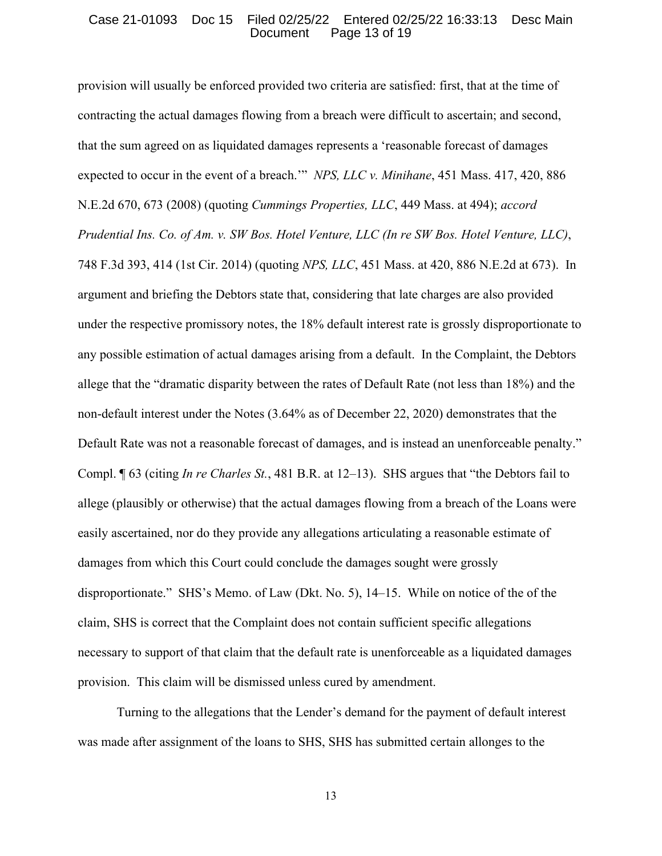## Case 21-01093 Doc 15 Filed 02/25/22 Entered 02/25/22 16:33:13 Desc Main Document Page 13 of 19

provision will usually be enforced provided two criteria are satisfied: first, that at the time of contracting the actual damages flowing from a breach were difficult to ascertain; and second, that the sum agreed on as liquidated damages represents a 'reasonable forecast of damages expected to occur in the event of a breach.'" *NPS, LLC v. Minihane*, 451 Mass. 417, 420, 886 N.E.2d 670, 673 (2008) (quoting *Cummings Properties, LLC*, 449 Mass. at 494); *accord Prudential Ins. Co. of Am. v. SW Bos. Hotel Venture, LLC (In re SW Bos. Hotel Venture, LLC)*, 748 F.3d 393, 414 (1st Cir. 2014) (quoting *NPS, LLC*, 451 Mass. at 420, 886 N.E.2d at 673). In argument and briefing the Debtors state that, considering that late charges are also provided under the respective promissory notes, the 18% default interest rate is grossly disproportionate to any possible estimation of actual damages arising from a default. In the Complaint, the Debtors allege that the "dramatic disparity between the rates of Default Rate (not less than 18%) and the non-default interest under the Notes (3.64% as of December 22, 2020) demonstrates that the Default Rate was not a reasonable forecast of damages, and is instead an unenforceable penalty." Compl. ¶ 63 (citing *In re Charles St.*, 481 B.R. at 12–13). SHS argues that "the Debtors fail to allege (plausibly or otherwise) that the actual damages flowing from a breach of the Loans were easily ascertained, nor do they provide any allegations articulating a reasonable estimate of damages from which this Court could conclude the damages sought were grossly disproportionate." SHS's Memo. of Law (Dkt. No. 5), 14–15. While on notice of the of the claim, SHS is correct that the Complaint does not contain sufficient specific allegations necessary to support of that claim that the default rate is unenforceable as a liquidated damages provision. This claim will be dismissed unless cured by amendment.

 Turning to the allegations that the Lender's demand for the payment of default interest was made after assignment of the loans to SHS, SHS has submitted certain allonges to the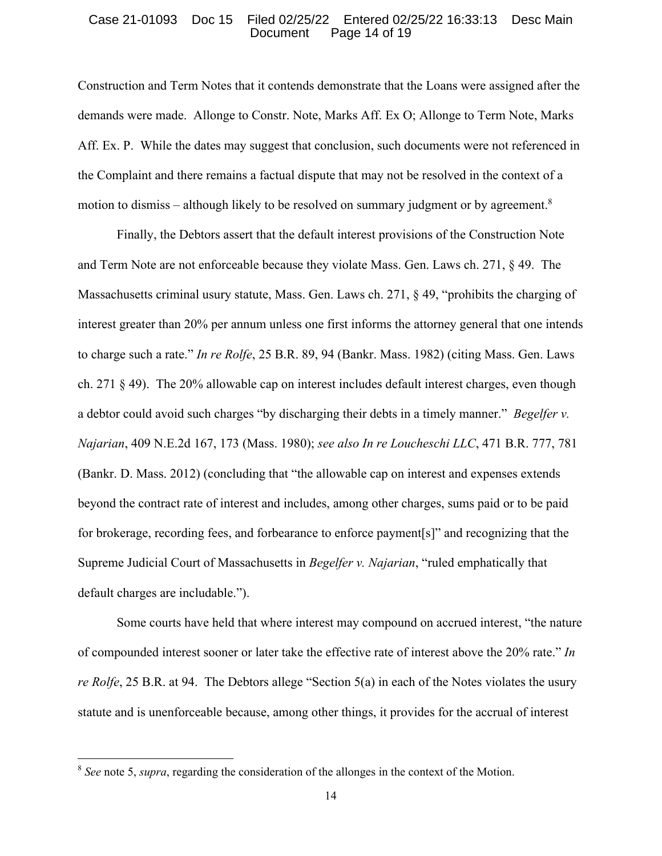#### Case 21-01093 Doc 15 Filed 02/25/22 Entered 02/25/22 16:33:13 Desc Main Document Page 14 of 19

Construction and Term Notes that it contends demonstrate that the Loans were assigned after the demands were made. Allonge to Constr. Note, Marks Aff. Ex O; Allonge to Term Note, Marks Aff. Ex. P. While the dates may suggest that conclusion, such documents were not referenced in the Complaint and there remains a factual dispute that may not be resolved in the context of a motion to dismiss – although likely to be resolved on summary judgment or by agreement.<sup>8</sup>

Finally, the Debtors assert that the default interest provisions of the Construction Note and Term Note are not enforceable because they violate Mass. Gen. Laws ch. 271, § 49. The Massachusetts criminal usury statute, Mass. Gen. Laws ch. 271, § 49, "prohibits the charging of interest greater than 20% per annum unless one first informs the attorney general that one intends to charge such a rate." *In re Rolfe*, 25 B.R. 89, 94 (Bankr. Mass. 1982) (citing Mass. Gen. Laws ch. 271 § 49). The 20% allowable cap on interest includes default interest charges, even though a debtor could avoid such charges "by discharging their debts in a timely manner." *Begelfer v. Najarian*, 409 N.E.2d 167, 173 (Mass. 1980); *see also In re Loucheschi LLC*, 471 B.R. 777, 781 (Bankr. D. Mass. 2012) (concluding that "the allowable cap on interest and expenses extends beyond the contract rate of interest and includes, among other charges, sums paid or to be paid for brokerage, recording fees, and forbearance to enforce payment[s]" and recognizing that the Supreme Judicial Court of Massachusetts in *Begelfer v. Najarian*, "ruled emphatically that default charges are includable.").

 Some courts have held that where interest may compound on accrued interest, "the nature of compounded interest sooner or later take the effective rate of interest above the 20% rate." *In re Rolfe*, 25 B.R. at 94. The Debtors allege "Section 5(a) in each of the Notes violates the usury statute and is unenforceable because, among other things, it provides for the accrual of interest

<sup>8</sup> *See* note 5, *supra*, regarding the consideration of the allonges in the context of the Motion.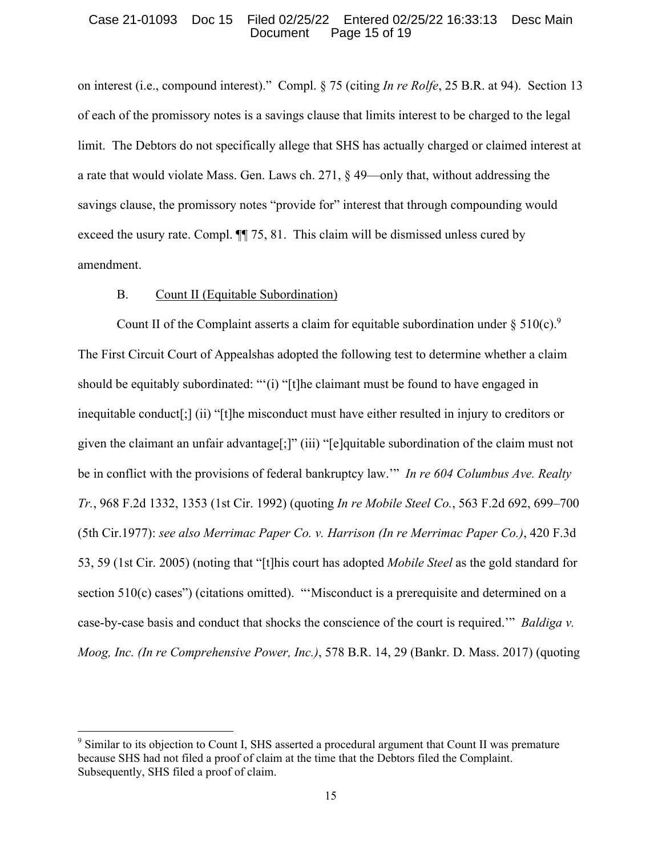## Case 21-01093 Doc 15 Filed 02/25/22 Entered 02/25/22 16:33:13 Desc Main Document Page 15 of 19

on interest (i.e., compound interest)." Compl. § 75 (citing *In re Rolfe*, 25 B.R. at 94). Section 13 of each of the promissory notes is a savings clause that limits interest to be charged to the legal limit. The Debtors do not specifically allege that SHS has actually charged or claimed interest at a rate that would violate Mass. Gen. Laws ch. 271, § 49—only that, without addressing the savings clause, the promissory notes "provide for" interest that through compounding would exceed the usury rate. Compl. ¶¶ 75, 81. This claim will be dismissed unless cured by amendment.

## B. Count II (Equitable Subordination)

Count II of the Complaint asserts a claim for equitable subordination under  $\S 510(c).$ <sup>9</sup> The First Circuit Court of Appealshas adopted the following test to determine whether a claim should be equitably subordinated: "'(i) "[t]he claimant must be found to have engaged in inequitable conduct[;] (ii) "[t]he misconduct must have either resulted in injury to creditors or given the claimant an unfair advantage[;]" (iii) "[e]quitable subordination of the claim must not be in conflict with the provisions of federal bankruptcy law.'" *In re 604 Columbus Ave. Realty Tr.*, 968 F.2d 1332, 1353 (1st Cir. 1992) (quoting *In re Mobile Steel Co.*, 563 F.2d 692, 699–700 (5th Cir.1977): *see also Merrimac Paper Co. v. Harrison (In re Merrimac Paper Co.)*, 420 F.3d 53, 59 (1st Cir. 2005) (noting that "[t]his court has adopted *Mobile Steel* as the gold standard for section 510(c) cases") (citations omitted). "'Misconduct is a prerequisite and determined on a case-by-case basis and conduct that shocks the conscience of the court is required.'" *Baldiga v. Moog, Inc. (In re Comprehensive Power, Inc.)*, 578 B.R. 14, 29 (Bankr. D. Mass. 2017) (quoting

<sup>&</sup>lt;sup>9</sup> Similar to its objection to Count I, SHS asserted a procedural argument that Count II was premature because SHS had not filed a proof of claim at the time that the Debtors filed the Complaint. Subsequently, SHS filed a proof of claim.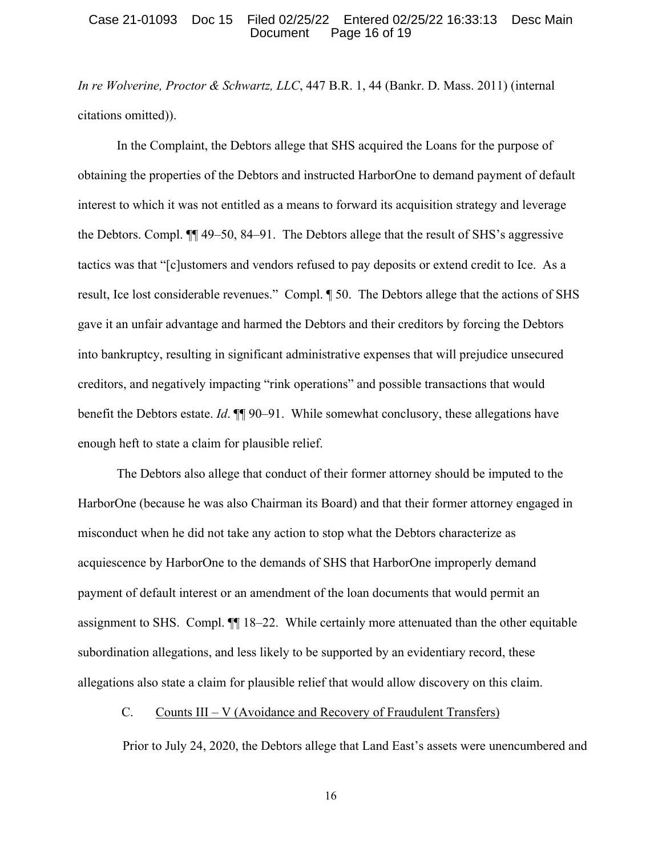## Case 21-01093 Doc 15 Filed 02/25/22 Entered 02/25/22 16:33:13 Desc Main Document Page 16 of 19

*In re Wolverine, Proctor & Schwartz, LLC*, 447 B.R. 1, 44 (Bankr. D. Mass. 2011) (internal citations omitted)).

In the Complaint, the Debtors allege that SHS acquired the Loans for the purpose of obtaining the properties of the Debtors and instructed HarborOne to demand payment of default interest to which it was not entitled as a means to forward its acquisition strategy and leverage the Debtors. Compl. ¶¶ 49–50, 84–91. The Debtors allege that the result of SHS's aggressive tactics was that "[c]ustomers and vendors refused to pay deposits or extend credit to Ice. As a result, Ice lost considerable revenues." Compl. ¶ 50. The Debtors allege that the actions of SHS gave it an unfair advantage and harmed the Debtors and their creditors by forcing the Debtors into bankruptcy, resulting in significant administrative expenses that will prejudice unsecured creditors, and negatively impacting "rink operations" and possible transactions that would benefit the Debtors estate. *Id*. ¶¶ 90–91. While somewhat conclusory, these allegations have enough heft to state a claim for plausible relief.

The Debtors also allege that conduct of their former attorney should be imputed to the HarborOne (because he was also Chairman its Board) and that their former attorney engaged in misconduct when he did not take any action to stop what the Debtors characterize as acquiescence by HarborOne to the demands of SHS that HarborOne improperly demand payment of default interest or an amendment of the loan documents that would permit an assignment to SHS. Compl. ¶¶ 18–22. While certainly more attenuated than the other equitable subordination allegations, and less likely to be supported by an evidentiary record, these allegations also state a claim for plausible relief that would allow discovery on this claim.

# C. Counts III – V (Avoidance and Recovery of Fraudulent Transfers)

Prior to July 24, 2020, the Debtors allege that Land East's assets were unencumbered and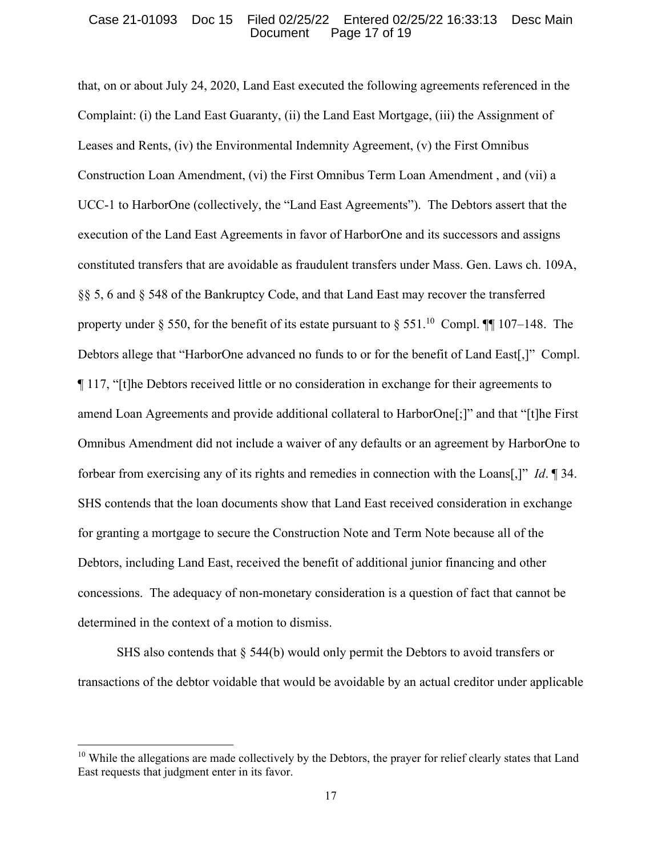#### Case 21-01093 Doc 15 Filed 02/25/22 Entered 02/25/22 16:33:13 Desc Main Document Page 17 of 19

that, on or about July 24, 2020, Land East executed the following agreements referenced in the Complaint: (i) the Land East Guaranty, (ii) the Land East Mortgage, (iii) the Assignment of Leases and Rents, (iv) the Environmental Indemnity Agreement, (v) the First Omnibus Construction Loan Amendment, (vi) the First Omnibus Term Loan Amendment , and (vii) a UCC-1 to HarborOne (collectively, the "Land East Agreements"). The Debtors assert that the execution of the Land East Agreements in favor of HarborOne and its successors and assigns constituted transfers that are avoidable as fraudulent transfers under Mass. Gen. Laws ch. 109A, §§ 5, 6 and § 548 of the Bankruptcy Code, and that Land East may recover the transferred property under  $\S$  550, for the benefit of its estate pursuant to  $\S$  551.<sup>10</sup> Compl. III 107–148. The Debtors allege that "HarborOne advanced no funds to or for the benefit of Land East[,]" Compl. ¶ 117, "[t]he Debtors received little or no consideration in exchange for their agreements to amend Loan Agreements and provide additional collateral to HarborOne[;]" and that "[t]he First Omnibus Amendment did not include a waiver of any defaults or an agreement by HarborOne to forbear from exercising any of its rights and remedies in connection with the Loans[,]" *Id*. ¶ 34. SHS contends that the loan documents show that Land East received consideration in exchange for granting a mortgage to secure the Construction Note and Term Note because all of the Debtors, including Land East, received the benefit of additional junior financing and other concessions. The adequacy of non-monetary consideration is a question of fact that cannot be determined in the context of a motion to dismiss.

SHS also contends that § 544(b) would only permit the Debtors to avoid transfers or transactions of the debtor voidable that would be avoidable by an actual creditor under applicable

<sup>&</sup>lt;sup>10</sup> While the allegations are made collectively by the Debtors, the prayer for relief clearly states that Land East requests that judgment enter in its favor.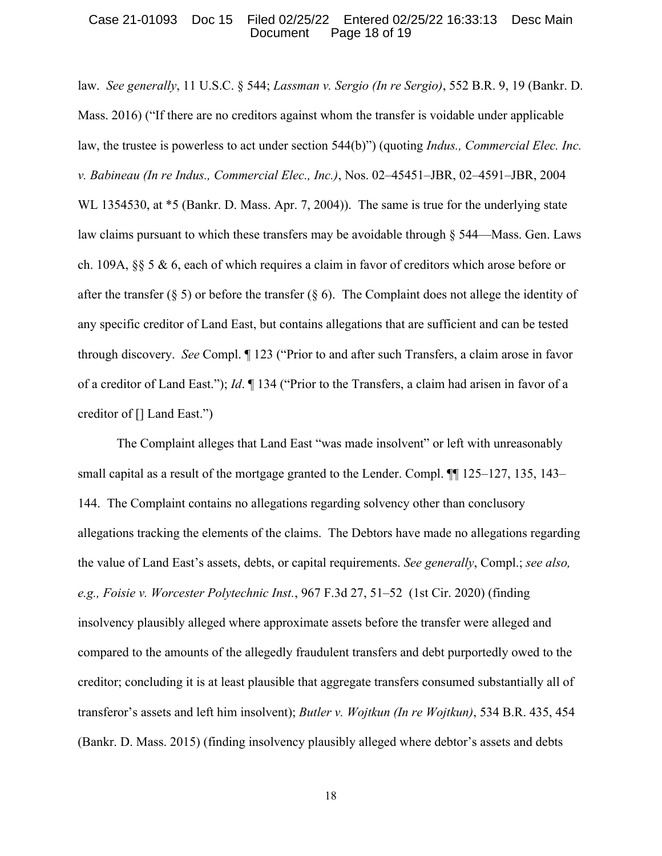## Case 21-01093 Doc 15 Filed 02/25/22 Entered 02/25/22 16:33:13 Desc Main Document Page 18 of 19

law. *See generally*, 11 U.S.C. § 544; *Lassman v. Sergio (In re Sergio)*, 552 B.R. 9, 19 (Bankr. D. Mass. 2016) ("If there are no creditors against whom the transfer is voidable under applicable law, the trustee is powerless to act under section 544(b)") (quoting *Indus., Commercial Elec. Inc. v. Babineau (In re Indus., Commercial Elec., Inc.)*, Nos. 02–45451–JBR, 02–4591–JBR, 2004 WL 1354530, at  $*$ 5 (Bankr. D. Mass. Apr. 7, 2004)). The same is true for the underlying state law claims pursuant to which these transfers may be avoidable through § 544—Mass. Gen. Laws ch. 109A, §§ 5 & 6, each of which requires a claim in favor of creditors which arose before or after the transfer (§ 5) or before the transfer (§ 6). The Complaint does not allege the identity of any specific creditor of Land East, but contains allegations that are sufficient and can be tested through discovery. *See* Compl. ¶ 123 ("Prior to and after such Transfers, a claim arose in favor of a creditor of Land East."); *Id*. ¶ 134 ("Prior to the Transfers, a claim had arisen in favor of a creditor of [] Land East.")

The Complaint alleges that Land East "was made insolvent" or left with unreasonably small capital as a result of the mortgage granted to the Lender. Compl.  $\P\P$  125–127, 135, 143– 144. The Complaint contains no allegations regarding solvency other than conclusory allegations tracking the elements of the claims. The Debtors have made no allegations regarding the value of Land East's assets, debts, or capital requirements. *See generally*, Compl.; *see also, e.g., Foisie v. Worcester Polytechnic Inst.*, 967 F.3d 27, 51–52 (1st Cir. 2020) (finding insolvency plausibly alleged where approximate assets before the transfer were alleged and compared to the amounts of the allegedly fraudulent transfers and debt purportedly owed to the creditor; concluding it is at least plausible that aggregate transfers consumed substantially all of transferor's assets and left him insolvent); *Butler v. Wojtkun (In re Wojtkun)*, 534 B.R. 435, 454 (Bankr. D. Mass. 2015) (finding insolvency plausibly alleged where debtor's assets and debts